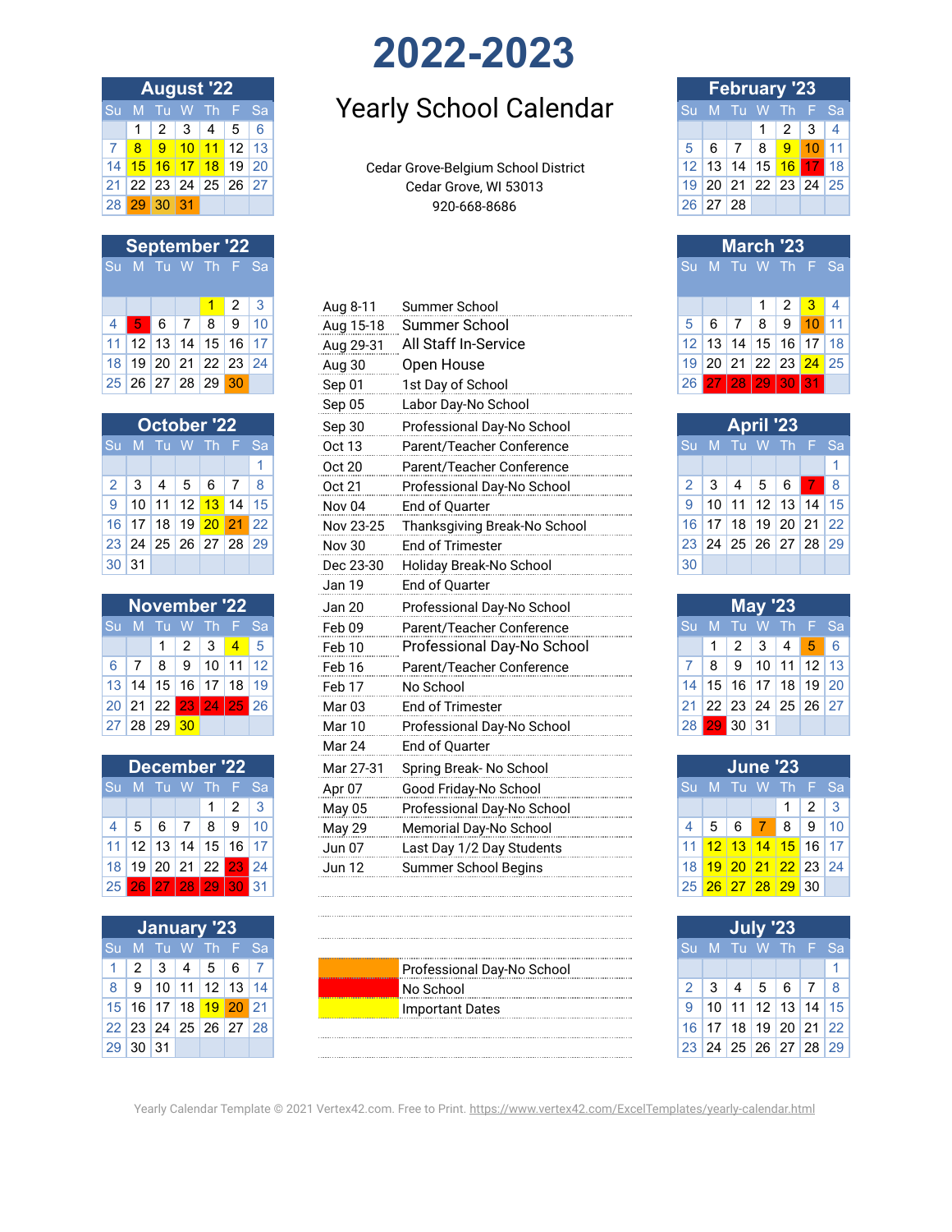| <b>August '22</b> |                      |    |    |                |   |                 |                                     | <b>February '23</b> |                 |                   |   |          |         |                |  |  |  |
|-------------------|----------------------|----|----|----------------|---|-----------------|-------------------------------------|---------------------|-----------------|-------------------|---|----------|---------|----------------|--|--|--|
| <b>Su</b>         |                      |    |    |                |   | M Tu W Th F Sal | <b>Yearly School Calendar</b>       |                     |                 | Su M Tu W Th F Sa |   |          |         |                |  |  |  |
|                   |                      | 2  | -3 | 4              | 5 | -6              |                                     |                     |                 |                   |   |          | 3       | $\overline{4}$ |  |  |  |
|                   | 8                    | -9 |    | 10 11 12 13    |   |                 |                                     |                     | 6               |                   | 8 | <b>9</b> | $10$ 11 |                |  |  |  |
| 14                | 15 <sup>1</sup>      |    |    | 16 17 18 19 20 |   |                 | Cedar Grove-Belgium School District |                     | 13 <sup>1</sup> | 14                |   | 15 16 I  |         | <b>17</b> 18   |  |  |  |
|                   | 21 22 23 24 25 26 27 |    |    |                |   |                 | Cedar Grove, WI 53013               | 19 <sub>1</sub>     |                 | 20 21 22 23 24 25 |   |          |         |                |  |  |  |
|                   | 28 29 30             |    | 31 |                |   |                 | 920-668-8686                        | 26                  |                 | 27 28             |   |          |         |                |  |  |  |

|                    | <b>September '22</b> |    |       |                          |    |    |
|--------------------|----------------------|----|-------|--------------------------|----|----|
| Tu W Th F Sa<br>M. |                      |    |       |                          |    |    |
|                    |                      |    |       |                          |    |    |
|                    |                      |    |       |                          |    |    |
|                    |                      |    |       |                          | 2  | 3  |
| 6<br>ь             |                      |    |       | 8                        | 9  | 10 |
| 13<br>12           |                      |    | 14    | 15                       | 16 | 17 |
| 19                 |                      |    | 20 21 | 22                       | 23 | 24 |
|                    | 26                   | 27 | 28    | $^{\circ}$ 29 $_{\circ}$ | 30 |    |

|                   | <b>October '22</b> |  |                      |  |  |   |  |  |  |  |  |  |  |  |
|-------------------|--------------------|--|----------------------|--|--|---|--|--|--|--|--|--|--|--|
| Su M Tu W Th F Sa |                    |  |                      |  |  |   |  |  |  |  |  |  |  |  |
|                   |                    |  |                      |  |  | 1 |  |  |  |  |  |  |  |  |
| $\overline{2}$    |                    |  | 3 4 5 6 7            |  |  | 8 |  |  |  |  |  |  |  |  |
| 9                 |                    |  | 10 11 12 13 14 15    |  |  |   |  |  |  |  |  |  |  |  |
|                   |                    |  | 16 17 18 19 20 21 22 |  |  |   |  |  |  |  |  |  |  |  |
|                   |                    |  | 23 24 25 26 27 28 29 |  |  |   |  |  |  |  |  |  |  |  |
| 30                | $\overline{31}$    |  |                      |  |  |   |  |  |  |  |  |  |  |  |

| <b>November '22</b> |                                  |  |                                 |  |  |  |  |  |  |  |  |  |  |
|---------------------|----------------------------------|--|---------------------------------|--|--|--|--|--|--|--|--|--|--|
|                     | Su M Tu W Th F Sa                |  |                                 |  |  |  |  |  |  |  |  |  |  |
|                     |                                  |  | $1 \mid 2 \mid 3 \mid 4 \mid 5$ |  |  |  |  |  |  |  |  |  |  |
|                     | $6$   7   8   9   10   11   12   |  |                                 |  |  |  |  |  |  |  |  |  |  |
|                     | 13   14   15   16   17   18   19 |  |                                 |  |  |  |  |  |  |  |  |  |  |
|                     | 20 21 22 23 24 25 26             |  |                                 |  |  |  |  |  |  |  |  |  |  |
|                     | 27 28 29 30                      |  |                                 |  |  |  |  |  |  |  |  |  |  |

| <b>December '22</b>        |                   |  |  |                   |  |  |  |  |  |  |  |  |  |
|----------------------------|-------------------|--|--|-------------------|--|--|--|--|--|--|--|--|--|
|                            | Su M Tu W Th F Sa |  |  |                   |  |  |  |  |  |  |  |  |  |
|                            |                   |  |  | $1 \mid 2 \mid 3$ |  |  |  |  |  |  |  |  |  |
| 4   5   6   7   8   9   10 |                   |  |  |                   |  |  |  |  |  |  |  |  |  |
| 11 12 13 14 15 16 17       |                   |  |  |                   |  |  |  |  |  |  |  |  |  |
| 18 19 20 21 22 23 24       |                   |  |  |                   |  |  |  |  |  |  |  |  |  |
| 25 26 27 28 29 30 31       |                   |  |  |                   |  |  |  |  |  |  |  |  |  |

|                                               | January '23 |  |  |
|-----------------------------------------------|-------------|--|--|
| Su M Tu W Th F Sa                             |             |  |  |
| $1 \mid 2 \mid 3 \mid 4 \mid 5 \mid 6 \mid 7$ |             |  |  |
| $8$   9   10   11   12   13   14              |             |  |  |
| 15 16 17 18 19 20 21                          |             |  |  |
| 22 23 24 25 26 27 28                          |             |  |  |
| 29 30 31                                      |             |  |  |

# **2022-2023**

# Su <u>M Tu W Th F Sa</u> Nice **Yearly School Calendar** Misu M Tu <u>W Th F Sa</u>

|                |                |              |                | 1           | 2              | 3  |
|----------------|----------------|--------------|----------------|-------------|----------------|----|
| 4              | 5              | 6            | $\overline{7}$ | 8           | 9              | 10 |
| 11             | 12             | 13           | 14             | 15          | 16             | 17 |
| 18             | 19             | 20           | 21             | 22          | 23             | 24 |
| 25             | 26             | 27           | 28             | 29          | 30             |    |
|                |                |              |                |             |                |    |
|                |                | October '22  |                |             |                |    |
| Su             | M              |              | W              | Th          |                | Sa |
|                |                |              |                |             |                | 1  |
| $\overline{2}$ | 3              | 4            | 5              | 6           | $\overline{7}$ | 8  |
| 9              | 10             | 11           | 12             | 13          | 14             | 15 |
| 16             | 17             | 18           | 19             | 20          | 21             | 22 |
| 23             | 24             | 25           | 26             | 27          | 28             | 29 |
| 30             | 31             |              |                |             |                |    |
|                |                |              |                |             |                |    |
|                |                | November '22 |                |             |                |    |
|                |                |              |                |             |                |    |
| Su             | M              | Τu           | W              | Th          |                | Sa |
|                |                | 1            | $\overline{2}$ | 3           | $\overline{4}$ | 5  |
| 6              | $\overline{7}$ | 8            | 9              | 10          | 11             | 12 |
| 13             | 14             | 15           | 16             | 17          | 18             | 19 |
| 20             | 21             | 22           | 23             | 24          | 25             | 26 |
| 27             | 28             | 29           | 30             |             |                |    |
|                |                |              |                |             |                |    |
|                |                | December '22 |                |             |                |    |
| Su             | M              | Τu           | W              | Th          |                | Sa |
|                |                |              |                | $\mathbf 1$ | $\overline{2}$ | 3  |
| 4              | 5              | 6            | $\overline{7}$ | 8           | 9              | 10 |
| 11             | 12             | 13           | 14             | 15          | 16             | 17 |
| 18             | 19             | 20           | 21             | 22          | 23             | 24 |

|    |    |    |     |    |                            |  |    |    |    | ---    |
|----|----|----|-----|----|----------------------------|--|----|----|----|--------|
|    |    |    |     |    | Professional Day-No School |  |    |    |    |        |
|    |    |    |     |    | No School                  |  |    |    |    |        |
|    | 18 |    |     |    | Important Dates            |  |    |    |    | 15     |
| 24 | 25 | 26 | ר - | 28 |                            |  | 18 | 19 | 20 | 22     |
|    |    |    |     |    | 00 IVI I 0 V V III I 00    |  |    |    |    | $\sim$ |

|   |   |          |   |                   |                                                                                                                | <b>February '23</b>           |    |                 |   |    |              |                                                        |  |  |  |
|---|---|----------|---|-------------------|----------------------------------------------------------------------------------------------------------------|-------------------------------|----|-----------------|---|----|--------------|--------------------------------------------------------|--|--|--|
|   |   |          |   |                   |                                                                                                                | Su                            |    |                 |   |    |              |                                                        |  |  |  |
| 2 | 3 | 4        | 5 | - 6               |                                                                                                                |                               |    |                 |   | 2  | 3            | $\overline{4}$                                         |  |  |  |
|   |   |          |   |                   |                                                                                                                | 5                             | 6  | 7               | 8 | -9 | $10$ 11      |                                                        |  |  |  |
|   |   |          |   |                   | Cedar Grove-Belgium School District                                                                            | $12 \overline{ }$             | 13 | 14              |   |    | <b>17</b> 18 |                                                        |  |  |  |
|   |   |          |   |                   | Cedar Grove, WI 53013                                                                                          | 19                            |    |                 |   |    |              |                                                        |  |  |  |
|   |   |          |   |                   | 920-668-8686                                                                                                   |                               | 27 | 28              |   |    |              |                                                        |  |  |  |
|   |   | 29 30 31 |   | <b>August '22</b> | M Tu W Th F Sa<br>8 9 10 11 12 13<br><mark>15   16   17   18</mark>   19   20  <br>22   23   24   25   26   27 | <b>Yearly School Calendar</b> |    | 26 <sup>1</sup> |   |    | 115          | M Tu W Th F Sa<br>16 <sup>1</sup><br>20 21 22 23 24 25 |  |  |  |

|                 | <b>September '22</b> |       |    |                 |                 |         |           |                      |    |    |    | <b>March '23</b> |    |                    |  |
|-----------------|----------------------|-------|----|-----------------|-----------------|---------|-----------|----------------------|----|----|----|------------------|----|--------------------|--|
|                 | Su M                 | Tu W  |    |                 |                 | Th F Sa |           |                      |    |    |    | M Tu W Th F Sa   |    |                    |  |
|                 |                      |       |    |                 | 2               | 3       | Aug 8-11  | Summer School        |    |    |    |                  | 2  | З.                 |  |
| 4 <sup>1</sup>  | 5                    | 6     |    | 8               | 9               | 10      | Aug 15-18 | Summer School        | 5  | 6  |    | 8                | 9  | 10 <sup>1</sup>    |  |
| 11 <sup>1</sup> | 12                   | 13    | 14 | 15 <sup>1</sup> | 16 <sup>1</sup> | 17      | Aug 29-31 | All Staff In-Service |    | 13 | 14 | 15               | 16 | 17 <sub>1</sub>    |  |
| 18 <sup>1</sup> | 19                   | 20 21 |    | 22 23           |                 | 24      | Aug 30    | Open House           | 19 | 20 | 21 | 22               | 23 | $24 \overline{25}$ |  |
|                 | 25 26                | 27    | 28 | 29 30           |                 |         | Sep 01    | 1st Day of School    |    |    | 28 | 29               | 30 |                    |  |

| <b>April '23</b> |  |  |  |                      |  |   |  |  |  |  |  |
|------------------|--|--|--|----------------------|--|---|--|--|--|--|--|
|                  |  |  |  | Su M Tu W Th F Sa    |  |   |  |  |  |  |  |
|                  |  |  |  |                      |  | 1 |  |  |  |  |  |
| 2                |  |  |  | 3   4   5   6   7    |  | 8 |  |  |  |  |  |
| 9                |  |  |  | 10 11 12 13 14 15    |  |   |  |  |  |  |  |
|                  |  |  |  | 16 17 18 19 20 21 22 |  |   |  |  |  |  |  |
|                  |  |  |  | 23 24 25 26 27 28 29 |  |   |  |  |  |  |  |
| 30               |  |  |  |                      |  |   |  |  |  |  |  |

| <b>May '23</b> |  |             |                               |  |  |  |  |  |  |  |  |  |  |
|----------------|--|-------------|-------------------------------|--|--|--|--|--|--|--|--|--|--|
|                |  |             | Su M Tu W Th F Sa             |  |  |  |  |  |  |  |  |  |  |
|                |  |             | 1   2   3   4 5 6             |  |  |  |  |  |  |  |  |  |  |
|                |  |             | 7   8   9   10   11   12   13 |  |  |  |  |  |  |  |  |  |  |
|                |  |             | 14 15 16 17 18 19 20          |  |  |  |  |  |  |  |  |  |  |
|                |  |             | 21 22 23 24 25 26 27          |  |  |  |  |  |  |  |  |  |  |
|                |  | 28 29 30 31 |                               |  |  |  |  |  |  |  |  |  |  |

|   | <b>June '23</b> |  |  |                      |                   |  |  |  |  |
|---|-----------------|--|--|----------------------|-------------------|--|--|--|--|
|   |                 |  |  | Su M Tu W Th F Sa    |                   |  |  |  |  |
|   |                 |  |  |                      | $1 \mid 2 \mid 3$ |  |  |  |  |
| 4 |                 |  |  | 5678910              |                   |  |  |  |  |
|   |                 |  |  | 11 12 13 14 15 16 17 |                   |  |  |  |  |
|   |                 |  |  | 18 19 20 21 22 23 24 |                   |  |  |  |  |
|   |                 |  |  | 25 26 27 28 29 30    |                   |  |  |  |  |

| January 23 |       |               |    |       |   |    |                            |    |                 | Julv '23 |    |     |    |
|------------|-------|---------------|----|-------|---|----|----------------------------|----|-----------------|----------|----|-----|----|
|            | -M    | ⊤Tu W Th F Sa |    |       |   |    |                            |    | M Tu W Th F Sa  |          |    |     |    |
|            | ີ     |               | 4  | 5     | 6 |    | Professional Day-No School |    |                 |          |    |     |    |
| 8          | 9     |               |    | 12    |   |    | No School                  |    |                 | 5        | 6  |     |    |
| 15         | 16    |               | 18 | 19    |   |    | <b>Important Dates</b>     |    |                 |          |    |     | 15 |
|            | 22 23 | 24 25         |    | 26 27 |   | 28 |                            |    | 18              | 19       | 20 | -21 | 22 |
| 29         |       |               |    |       |   |    |                            | 24 | 25 <sub>1</sub> | 26       | 27 | 28  | 29 |

Yearly Calendar Template © 2021 Vertex42.com. Free to Print. https://www.vertex42.com/ExcelTemplates/yearly-calendar.html

29 30 31 23 24 25 26 27 28 29